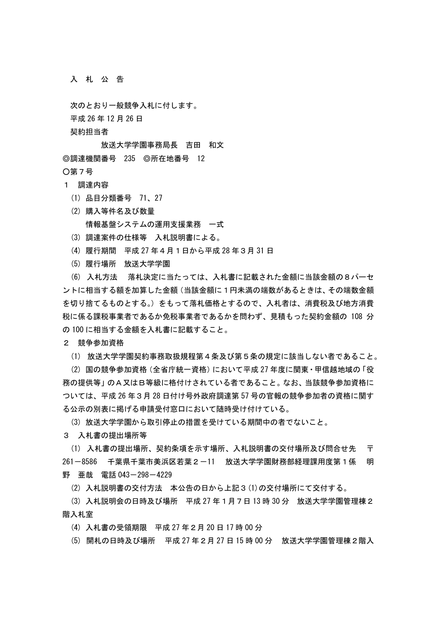入 札 公 告

次のとおり一般競争入札に付します。

平成 26 年 12 月 26 日

契約担当者

 放送大学学園事務局長 吉田 和文 ◎調達機関番号 235 ◎所在地番号 12

○第7号

## 1 調達内容

- (1) 品目分類番号 71、27
- (2) 購入等件名及び数量 情報基盤システムの運用支援業務 一式
- (3) 調達案件の仕様等 入札説明書による。
- (4) 履行期間 平成 27 年4月1日から平成 28 年3月 31 日
- (5) 履行場所 放送大学学園

 (6) 入札方法 落札決定に当たっては、入札書に記載された金額に当該金額の8パーセ ントに相当する額を加算した金額(当該金額に1円未満の端数があるときは、その端数金額 を切り捨てるものとする。)をもって落札価格とするので、入札者は、消費税及び地方消費 税に係る課税事業者であるか免税事業者であるかを問わず、見積もった契約金額の 108 分 の 100 に相当する金額を入札書に記載すること。

2 競争参加資格

(1) 放送大学学園契約事務取扱規程第4条及び第5条の規定に該当しない者であること。

 (2) 国の競争参加資格(全省庁統一資格)において平成 27 年度に関東・甲信越地域の「役 務の提供等」のA又はB等級に格付けされている者であること。なお、当該競争参加資格に ついては、平成 26 年3月 28 日付け号外政府調達第 57 号の官報の競争参加者の資格に関す る公示の別表に掲げる申請受付窓口において随時受け付けている。

(3) 放送大学学園から取引停止の措置を受けている期間中の者でないこと。

3 入札書の提出場所等

(1) 入札書の提出場所、契約条項を示す場所、入札説明書の交付場所及び問合せ先 〒 261-8586 千葉県千葉市美浜区若葉2-11 放送大学学園財務部経理課用度第1係 明 野 亜哉 電話 043-298-4229

(2) 入札説明書の交付方法 本公告の日から上記3(1)の交付場所にて交付する。

 (3) 入札説明会の日時及び場所 平成 27 年1月7日 13 時 30 分 放送大学学園管理棟2 階入札室

(4) 入札書の受領期限 平成 27 年2月 20 日 17 時 00 分

(5) 開札の日時及び場所 平成 27 年2月 27 日 15 時 00 分 放送大学学園管理棟2階入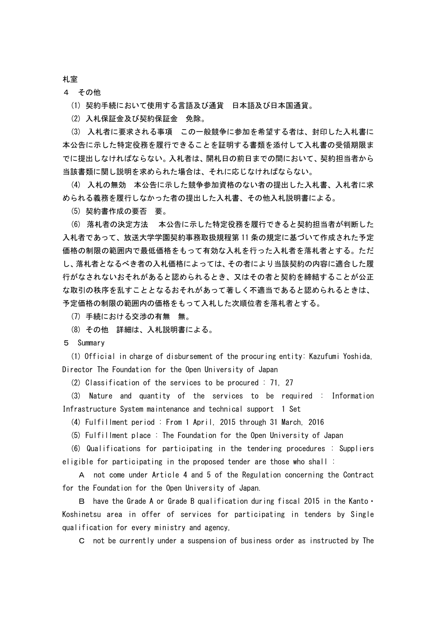## 札室

4 その他

(1) 契約手続において使用する言語及び通貨 日本語及び日本国通貨。

(2) 入札保証金及び契約保証金 免除。

 (3) 入札者に要求される事項 この一般競争に参加を希望する者は、封印した入札書に 本公告に示した特定役務を履行できることを証明する書類を添付して入札書の受領期限ま でに提出しなければならない。入札者は、開札日の前日までの間において、契約担当者から 当該書類に関し説明を求められた場合は、それに応じなければならない。

 (4) 入札の無効 本公告に示した競争参加資格のない者の提出した入札書、入札者に求 められる義務を履行しなかった者の提出した入札書、その他入札説明書による。

(5) 契約書作成の要否 要。

 (6) 落札者の決定方法 本公告に示した特定役務を履行できると契約担当者が判断した 入札者であって、放送大学学園契約事務取扱規程第 11 条の規定に基づいて作成された予定 価格の制限の範囲内で最低価格をもって有効な入札を行った入札者を落札者とする。ただ し、落札者となるべき者の入札価格によっては、その者により当該契約の内容に適合した履 行がなされないおそれがあると認められるとき、又はその者と契約を締結することが公正 な取引の秩序を乱すこととなるおそれがあって著しく不適当であると認められるときは、 予定価格の制限の範囲内の価格をもって入札した次順位者を落札者とする。

(7) 手続における交渉の有無 無。

(8) その他 詳細は、入札説明書による。

5 Summary

 (1) Official in charge of disbursement of the procuring entity: Kazufumi Yoshida, Director The Foundation for the Open University of Japan

(2) Classification of the services to be procured : 71, 27

 (3) Nature and quantity of the services to be required : Information Infrastructure System maintenance and technical support 1 Set

(4) Fulfillment period : From 1 April, 2015 through 31 March, 2016

(5) Fulfillment place : The Foundation for the Open University of Japan

 (6) Qualifications for participating in the tendering procedures : Suppliers eligible for participating in the proposed tender are those who shall :

 A not come under Article 4 and 5 of the Regulation concerning the Contract for the Foundation for the Open University of Japan.

 B have the Grade A or Grade B qualification during fiscal 2015 in the Kanto・ Koshinetsu area in offer of services for participating in tenders by Single qualification for every ministry and agency,

C not be currently under a suspension of business order as instructed by The